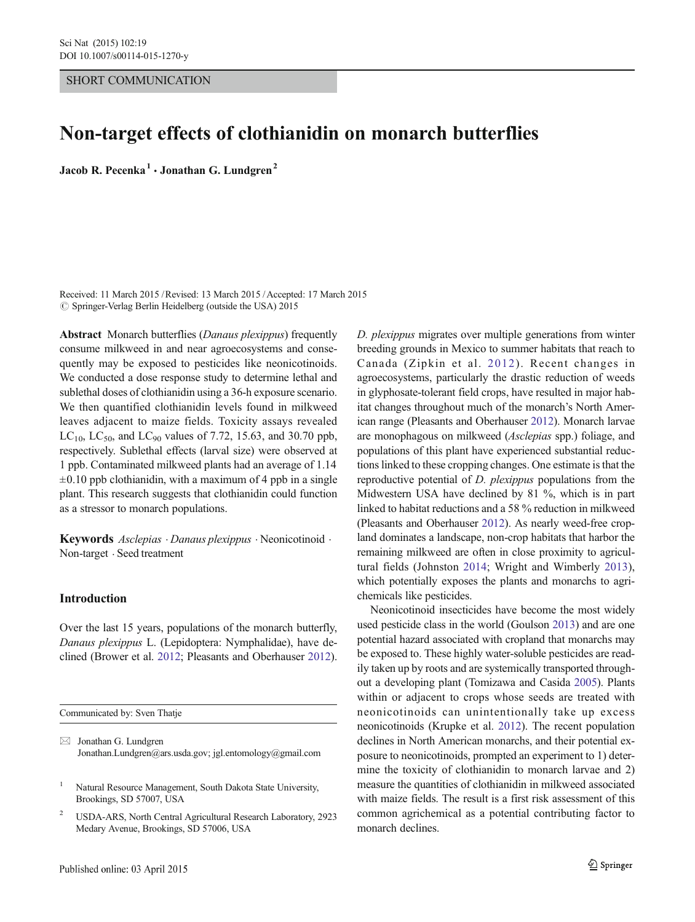## SHORT COMMUNICATION

# Non-target effects of clothianidin on monarch butterflies

Jacob R. Pecenka<sup>1</sup>  $\cdot$  Jonathan G. Lundgren<sup>2</sup>

Received: 11 March 2015 /Revised: 13 March 2015 /Accepted: 17 March 2015  $\circ$  Springer-Verlag Berlin Heidelberg (outside the USA) 2015

Abstract Monarch butterflies (Danaus plexippus) frequently consume milkweed in and near agroecosystems and consequently may be exposed to pesticides like neonicotinoids. We conducted a dose response study to determine lethal and sublethal doses of clothianidin using a 36-h exposure scenario. We then quantified clothianidin levels found in milkweed leaves adjacent to maize fields. Toxicity assays revealed  $LC_{10}$ ,  $LC_{50}$ , and  $LC_{90}$  values of 7.72, 15.63, and 30.70 ppb, respectively. Sublethal effects (larval size) were observed at 1 ppb. Contaminated milkweed plants had an average of 1.14  $\pm 0.10$  ppb clothianidin, with a maximum of 4 ppb in a single plant. This research suggests that clothianidin could function as a stressor to monarch populations.

Keywords Asclepias . Danaus plexippus . Neonicotinoid . Non-target . Seed treatment

# Introduction

Over the last 15 years, populations of the monarch butterfly, Danaus plexippus L. (Lepidoptera: Nymphalidae), have declined (Brower et al. [2012;](#page-3-0) Pleasants and Oberhauser [2012\)](#page-3-0).

Communicated by: Sven Thatje

D. plexippus migrates over multiple generations from winter breeding grounds in Mexico to summer habitats that reach to Canada (Zipkin et al. [2012](#page-3-0)). Recent changes in agroecosystems, particularly the drastic reduction of weeds in glyphosate-tolerant field crops, have resulted in major habitat changes throughout much of the monarch's North American range (Pleasants and Oberhauser [2012\)](#page-3-0). Monarch larvae are monophagous on milkweed (Asclepias spp.) foliage, and populations of this plant have experienced substantial reductions linked to these cropping changes. One estimate is that the reproductive potential of D. plexippus populations from the Midwestern USA have declined by 81 %, which is in part linked to habitat reductions and a 58 % reduction in milkweed (Pleasants and Oberhauser [2012\)](#page-3-0). As nearly weed-free cropland dominates a landscape, non-crop habitats that harbor the remaining milkweed are often in close proximity to agricultural fields (Johnston [2014](#page-3-0); Wright and Wimberly [2013](#page-3-0)), which potentially exposes the plants and monarchs to agrichemicals like pesticides.

Neonicotinoid insecticides have become the most widely used pesticide class in the world (Goulson [2013](#page-3-0)) and are one potential hazard associated with cropland that monarchs may be exposed to. These highly water-soluble pesticides are readily taken up by roots and are systemically transported throughout a developing plant (Tomizawa and Casida [2005\)](#page-3-0). Plants within or adjacent to crops whose seeds are treated with neonicotinoids can unintentionally take up excess neonicotinoids (Krupke et al. [2012\)](#page-3-0). The recent population declines in North American monarchs, and their potential exposure to neonicotinoids, prompted an experiment to 1) determine the toxicity of clothianidin to monarch larvae and 2) measure the quantities of clothianidin in milkweed associated with maize fields. The result is a first risk assessment of this common agrichemical as a potential contributing factor to monarch declines.

 $\boxtimes$  Jonathan G. Lundgren Jonathan.Lundgren@ars.usda.gov; jgl.entomology@gmail.com

<sup>&</sup>lt;sup>1</sup> Natural Resource Management, South Dakota State University, Brookings, SD 57007, USA

<sup>2</sup> USDA-ARS, North Central Agricultural Research Laboratory, 2923 Medary Avenue, Brookings, SD 57006, USA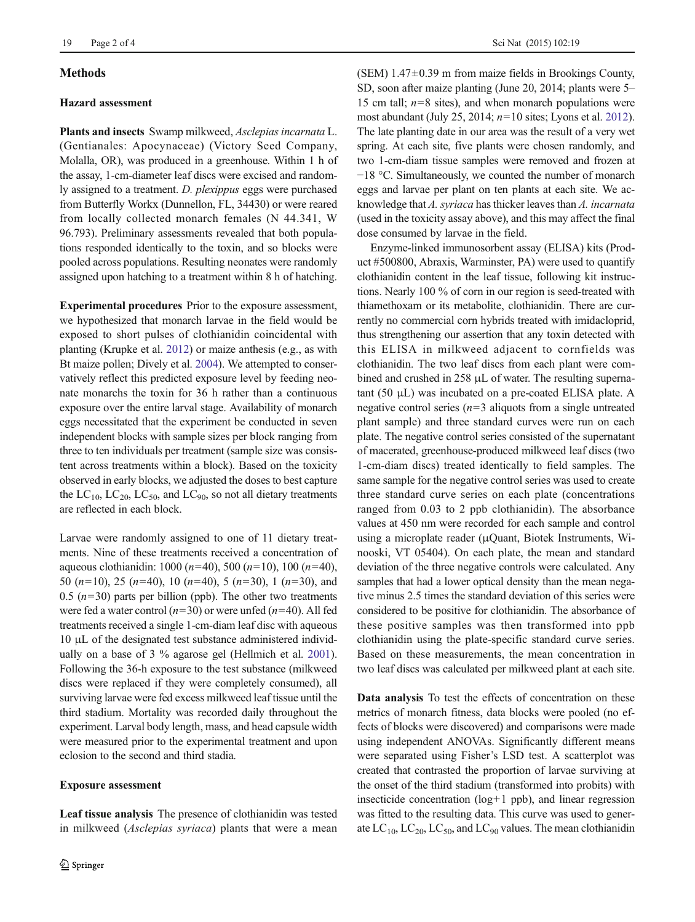## **Methods**

## Hazard assessment

Plants and insects Swamp milkweed, Asclepias incarnata L. (Gentianales: Apocynaceae) (Victory Seed Company, Molalla, OR), was produced in a greenhouse. Within 1 h of the assay, 1-cm-diameter leaf discs were excised and randomly assigned to a treatment. D. plexippus eggs were purchased from Butterfly Workx (Dunnellon, FL, 34430) or were reared from locally collected monarch females (N 44.341, W 96.793). Preliminary assessments revealed that both populations responded identically to the toxin, and so blocks were pooled across populations. Resulting neonates were randomly assigned upon hatching to a treatment within 8 h of hatching.

Experimental procedures Prior to the exposure assessment, we hypothesized that monarch larvae in the field would be exposed to short pulses of clothianidin coincidental with planting (Krupke et al. [2012](#page-3-0)) or maize anthesis (e.g., as with Bt maize pollen; Dively et al. [2004](#page-3-0)). We attempted to conservatively reflect this predicted exposure level by feeding neonate monarchs the toxin for 36 h rather than a continuous exposure over the entire larval stage. Availability of monarch eggs necessitated that the experiment be conducted in seven independent blocks with sample sizes per block ranging from three to ten individuals per treatment (sample size was consistent across treatments within a block). Based on the toxicity observed in early blocks, we adjusted the doses to best capture the  $LC_{10}$ ,  $LC_{20}$ ,  $LC_{50}$ , and  $LC_{90}$ , so not all dietary treatments are reflected in each block.

Larvae were randomly assigned to one of 11 dietary treatments. Nine of these treatments received a concentration of aqueous clothianidin: 1000 ( $n=40$ ), 500 ( $n=10$ ), 100 ( $n=40$ ), 50 ( $n=10$ ), 25 ( $n=40$ ), 10 ( $n=40$ ), 5 ( $n=30$ ), 1 ( $n=30$ ), and 0.5 ( $n=30$ ) parts per billion (ppb). The other two treatments were fed a water control  $(n=30)$  or were unfed  $(n=40)$ . All fed treatments received a single 1-cm-diam leaf disc with aqueous 10 μL of the designated test substance administered individually on a base of 3 % agarose gel (Hellmich et al. [2001\)](#page-3-0). Following the 36-h exposure to the test substance (milkweed discs were replaced if they were completely consumed), all surviving larvae were fed excess milkweed leaf tissue until the third stadium. Mortality was recorded daily throughout the experiment. Larval body length, mass, and head capsule width were measured prior to the experimental treatment and upon eclosion to the second and third stadia.

#### Exposure assessment

Leaf tissue analysis The presence of clothianidin was tested in milkweed (Asclepias syriaca) plants that were a mean (SEM)  $1.47\pm0.39$  m from maize fields in Brookings County, SD, soon after maize planting (June 20, 2014; plants were 5– 15 cm tall;  $n=8$  sites), and when monarch populations were most abundant (July 25, 2014;  $n=10$  sites; Lyons et al. [2012\)](#page-3-0). The late planting date in our area was the result of a very wet spring. At each site, five plants were chosen randomly, and two 1-cm-diam tissue samples were removed and frozen at −18 °C. Simultaneously, we counted the number of monarch eggs and larvae per plant on ten plants at each site. We acknowledge that A. syriaca has thicker leaves than A. incarnata (used in the toxicity assay above), and this may affect the final dose consumed by larvae in the field.

Enzyme-linked immunosorbent assay (ELISA) kits (Product #500800, Abraxis, Warminster, PA) were used to quantify clothianidin content in the leaf tissue, following kit instructions. Nearly 100 % of corn in our region is seed-treated with thiamethoxam or its metabolite, clothianidin. There are currently no commercial corn hybrids treated with imidacloprid, thus strengthening our assertion that any toxin detected with this ELISA in milkweed adjacent to cornfields was clothianidin. The two leaf discs from each plant were combined and crushed in 258 μL of water. The resulting supernatant (50 μL) was incubated on a pre-coated ELISA plate. A negative control series ( $n=3$  aliquots from a single untreated plant sample) and three standard curves were run on each plate. The negative control series consisted of the supernatant of macerated, greenhouse-produced milkweed leaf discs (two 1-cm-diam discs) treated identically to field samples. The same sample for the negative control series was used to create three standard curve series on each plate (concentrations ranged from 0.03 to 2 ppb clothianidin). The absorbance values at 450 nm were recorded for each sample and control using a microplate reader (μQuant, Biotek Instruments, Winooski, VT 05404). On each plate, the mean and standard deviation of the three negative controls were calculated. Any samples that had a lower optical density than the mean negative minus 2.5 times the standard deviation of this series were considered to be positive for clothianidin. The absorbance of these positive samples was then transformed into ppb clothianidin using the plate-specific standard curve series. Based on these measurements, the mean concentration in two leaf discs was calculated per milkweed plant at each site.

Data analysis To test the effects of concentration on these metrics of monarch fitness, data blocks were pooled (no effects of blocks were discovered) and comparisons were made using independent ANOVAs. Significantly different means were separated using Fisher's LSD test. A scatterplot was created that contrasted the proportion of larvae surviving at the onset of the third stadium (transformed into probits) with insecticide concentration (log+1 ppb), and linear regression was fitted to the resulting data. This curve was used to generate  $LC_{10}$ ,  $LC_{20}$ ,  $LC_{50}$ , and  $LC_{90}$  values. The mean clothianidin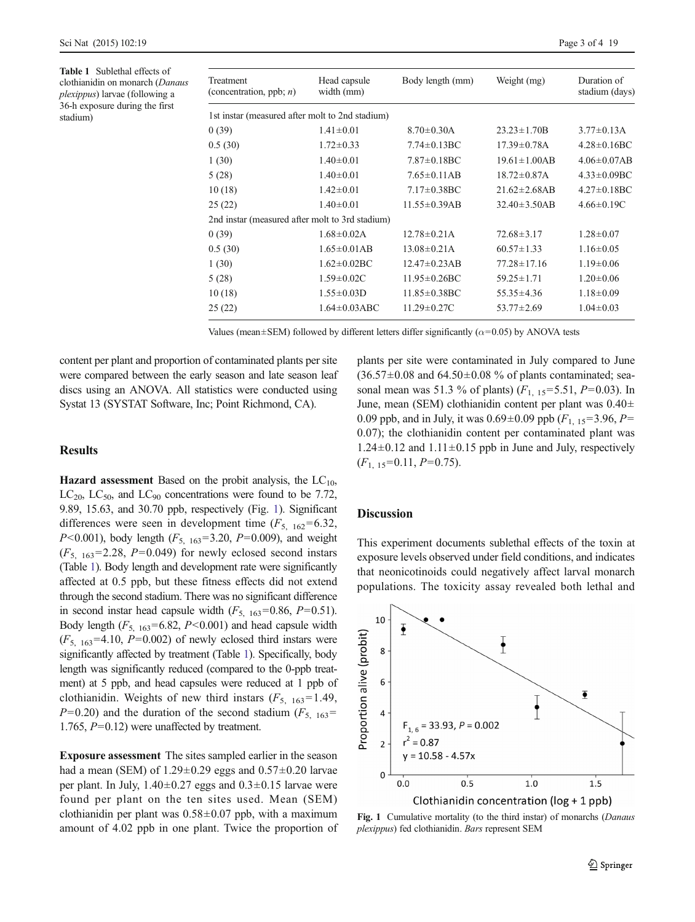<span id="page-2-0"></span>Table 1 Sublethal effects of clothianidin on monarch (Danaus plexippus) larvae (following a 36-h exposure during the first stadium)

| Treatment<br>(concentration, ppb; $n$ )         | Head capsule<br>width (mm) | Body length (mm)    | Weight (mg)         | Duration of<br>stadium (days) |
|-------------------------------------------------|----------------------------|---------------------|---------------------|-------------------------------|
| 1st instar (measured after molt to 2nd stadium) |                            |                     |                     |                               |
| 0(39)                                           | $1.41 \pm 0.01$            | $8.70 \pm 0.30$ A   | $23.23 \pm 1.70B$   | $3.77 \pm 0.13$ A             |
| 0.5(30)                                         | $1.72 \pm 0.33$            | $7.74 \pm 0.13$ BC  | $17.39 \pm 0.78$ A  | $4.28 \pm 0.16$ BC            |
| 1(30)                                           | $1.40 \pm 0.01$            | $7.87 \pm 0.18$ BC  | $19.61 \pm 1.00AB$  | $4.06 \pm 0.07$ AB            |
| 5(28)                                           | $1.40 \pm 0.01$            | $7.65 \pm 0.11AB$   | $18.72 \pm 0.87$ A  | $4.33 \pm 0.09$ BC            |
| 10(18)                                          | $1.42 \pm 0.01$            | $7.17 \pm 0.38$ BC  | $21.62 \pm 2.68$ AB | $4.27 \pm 0.18$ BC            |
| 25(22)                                          | $1.40 \pm 0.01$            | $11.55 \pm 0.39AB$  | $32.40 \pm 3.50AB$  | $4.66 \pm 0.19$ C             |
| 2nd instar (measured after molt to 3rd stadium) |                            |                     |                     |                               |
| 0(39)                                           | $1.68 \pm 0.02$ A          | $12.78 \pm 0.21$ A  | $72.68 \pm 3.17$    | $1.28 \pm 0.07$               |
| 0.5(30)                                         | $1.65 \pm 0.01AB$          | $13.08 \pm 0.21$ A  | $60.57 \pm 1.33$    | $1.16 \pm 0.05$               |
| 1(30)                                           | $1.62 \pm 0.02$ BC         | $12.47 \pm 0.23AB$  | $77.28 \pm 17.16$   | $1.19 \pm 0.06$               |
| 5(28)                                           | $1.59 \pm 0.02C$           | $11.95 \pm 0.26$ BC | $59.25 \pm 1.71$    | $1.20 \pm 0.06$               |
| 10(18)                                          | $1.55 \pm 0.03D$           | $11.85 \pm 0.38$ BC | $55.35 \pm 4.36$    | $1.18 \pm 0.09$               |
| 25(22)                                          | $1.64 \pm 0.03$ ABC        | $11.29 \pm 0.27C$   | $53.77 \pm 2.69$    | $1.04 \pm 0.03$               |

Values (mean $\pm$ SEM) followed by different letters differ significantly ( $\alpha$ =0.05) by ANOVA tests

content per plant and proportion of contaminated plants per site were compared between the early season and late season leaf discs using an ANOVA. All statistics were conducted using Systat 13 (SYSTAT Software, Inc; Point Richmond, CA).

# **Results**

**Hazard assessment** Based on the probit analysis, the  $LC_{10}$ ,  $LC_{20}$ ,  $LC_{50}$ , and  $LC_{90}$  concentrations were found to be 7.72, 9.89, 15.63, and 30.70 ppb, respectively (Fig. 1). Significant differences were seen in development time  $(F_{5, 162} = 6.32)$ , *P*<0.001), body length  $(F_{5, 163} = 3.20, P = 0.009)$ , and weight  $(F_{5, 163}=2.28, P=0.049)$  for newly eclosed second instars (Table 1). Body length and development rate were significantly affected at 0.5 ppb, but these fitness effects did not extend through the second stadium. There was no significant difference in second instar head capsule width  $(F_{5, 163} = 0.86, P = 0.51)$ . Body length  $(F_{5, 163} = 6.82, P < 0.001)$  and head capsule width  $(F_{5, 163} = 4.10, P = 0.002)$  of newly eclosed third instars were significantly affected by treatment (Table 1). Specifically, body length was significantly reduced (compared to the 0-ppb treatment) at 5 ppb, and head capsules were reduced at 1 ppb of clothianidin. Weights of new third instars  $(F_{5, 163} = 1.49)$ ,  $P=0.20$ ) and the duration of the second stadium ( $F_{5, 163}$ = 1.765, P=0.12) were unaffected by treatment.

Exposure assessment The sites sampled earlier in the season had a mean (SEM) of  $1.29 \pm 0.29$  eggs and  $0.57 \pm 0.20$  larvae per plant. In July,  $1.40 \pm 0.27$  eggs and  $0.3 \pm 0.15$  larvae were found per plant on the ten sites used. Mean (SEM) clothianidin per plant was  $0.58\pm0.07$  ppb, with a maximum amount of 4.02 ppb in one plant. Twice the proportion of plants per site were contaminated in July compared to June  $(36.57\pm0.08$  and  $64.50\pm0.08$  % of plants contaminated; seasonal mean was 51.3 % of plants)  $(F_{1, 15} = 5.51, P = 0.03)$ . In June, mean (SEM) clothianidin content per plant was 0.40± 0.09 ppb, and in July, it was  $0.69 \pm 0.09$  ppb  $(F_{1, 15} = 3.96, P =$ 0.07); the clothianidin content per contaminated plant was  $1.24\pm0.12$  and  $1.11\pm0.15$  ppb in June and July, respectively  $(F<sub>1, 15</sub>=0.11, P=0.75).$ 

#### **Discussion**

This experiment documents sublethal effects of the toxin at exposure levels observed under field conditions, and indicates that neonicotinoids could negatively affect larval monarch populations. The toxicity assay revealed both lethal and



Fig. 1 Cumulative mortality (to the third instar) of monarchs (*Danaus* plexippus) fed clothianidin. Bars represent SEM